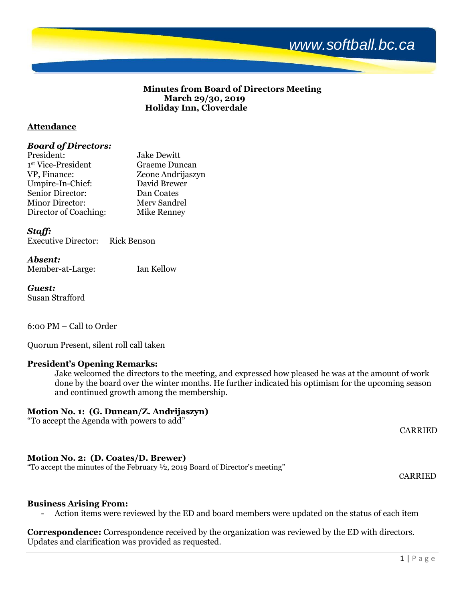

## **Minutes from Board of Directors Meeting March 29/30, 2019 Holiday Inn, Cloverdale**

## **Attendance**

## *Board of Directors:*

| President:             | <b>Jake Dewitt</b> |
|------------------------|--------------------|
| 1st Vice-President     | Graeme Duncan      |
| VP, Finance:           | Zeone Andrijaszyn  |
| Umpire-In-Chief:       | David Brewer       |
| Senior Director:       | Dan Coates         |
| <b>Minor Director:</b> | Merv Sandrel       |
| Director of Coaching:  | <b>Mike Renney</b> |

## *Staff:*

## *Absent:*

Member-at-Large: Ian Kellow

*Guest:* Susan Strafford

6:00 PM – Call to Order

Quorum Present, silent roll call taken

## **President's Opening Remarks:**

Jake welcomed the directors to the meeting, and expressed how pleased he was at the amount of work done by the board over the winter months. He further indicated his optimism for the upcoming season and continued growth among the membership.

## **Motion No. 1: (G. Duncan/Z. Andrijaszyn)**

"To accept the Agenda with powers to add"

## **Motion No. 2: (D. Coates/D. Brewer)**

"To accept the minutes of the February ½, 2019 Board of Director's meeting"

CARRIED

CARRIED

## **Business Arising From:**

- Action items were reviewed by the ED and board members were updated on the status of each item

**Correspondence:** Correspondence received by the organization was reviewed by the ED with directors. Updates and clarification was provided as requested.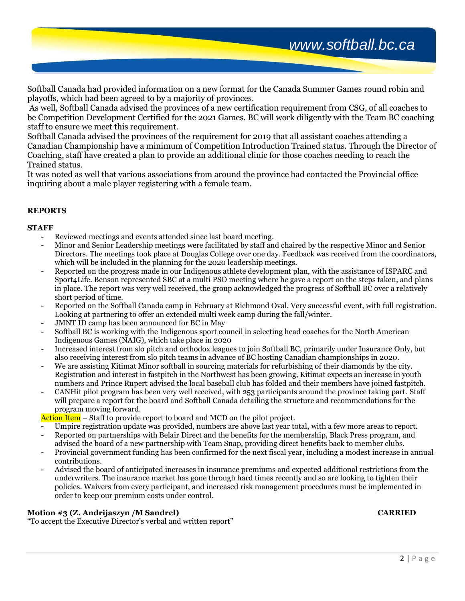Softball Canada had provided information on a new format for the Canada Summer Games round robin and playoffs, which had been agreed to by a majority of provinces.

As well, Softball Canada advised the provinces of a new certification requirement from CSG, of all coaches to be Competition Development Certified for the 2021 Games. BC will work diligently with the Team BC coaching staff to ensure we meet this requirement.

Softball Canada advised the provinces of the requirement for 2019 that all assistant coaches attending a Canadian Championship have a minimum of Competition Introduction Trained status. Through the Director of Coaching, staff have created a plan to provide an additional clinic for those coaches needing to reach the Trained status.

It was noted as well that various associations from around the province had contacted the Provincial office inquiring about a male player registering with a female team.

## **REPORTS**

## **STAFF**

- Reviewed meetings and events attended since last board meeting.
- Minor and Senior Leadership meetings were facilitated by staff and chaired by the respective Minor and Senior Directors. The meetings took place at Douglas College over one day. Feedback was received from the coordinators, which will be included in the planning for the 2020 leadership meetings.
- Reported on the progress made in our Indigenous athlete development plan, with the assistance of ISPARC and Sport4Life. Benson represented SBC at a multi PSO meeting where he gave a report on the steps taken, and plans in place. The report was very well received, the group acknowledged the progress of Softball BC over a relatively short period of time.
- Reported on the Softball Canada camp in February at Richmond Oval. Very successful event, with full registration. Looking at partnering to offer an extended multi week camp during the fall/winter.
- JMNT ID camp has been announced for BC in May
- Softball BC is working with the Indigenous sport council in selecting head coaches for the North American Indigenous Games (NAIG), which take place in 2020
- Increased interest from slo pitch and orthodox leagues to join Softball BC, primarily under Insurance Only, but also receiving interest from slo pitch teams in advance of BC hosting Canadian championships in 2020.
- We are assisting Kitimat Minor softball in sourcing materials for refurbishing of their diamonds by the city. Registration and interest in fastpitch in the Northwest has been growing, Kitimat expects an increase in youth numbers and Prince Rupert advised the local baseball club has folded and their members have joined fastpitch.
- CANHit pilot program has been very well received, with 253 participants around the province taking part. Staff will prepare a report for the board and Softball Canada detailing the structure and recommendations for the program moving forward.

Action Item – Staff to provide report to board and MCD on the pilot project.

- Umpire registration update was provided, numbers are above last year total, with a few more areas to report.
- Reported on partnerships with Belair Direct and the benefits for the membership, Black Press program, and advised the board of a new partnership with Team Snap, providing direct benefits back to member clubs.
- Provincial government funding has been confirmed for the next fiscal year, including a modest increase in annual contributions.
- Advised the board of anticipated increases in insurance premiums and expected additional restrictions from the underwriters. The insurance market has gone through hard times recently and so are looking to tighten their policies. Waivers from every participant, and increased risk management procedures must be implemented in order to keep our premium costs under control.

## **Motion #3 (Z. Andrijaszyn /M Sandrel) CARRIED**

"To accept the Executive Director's verbal and written report"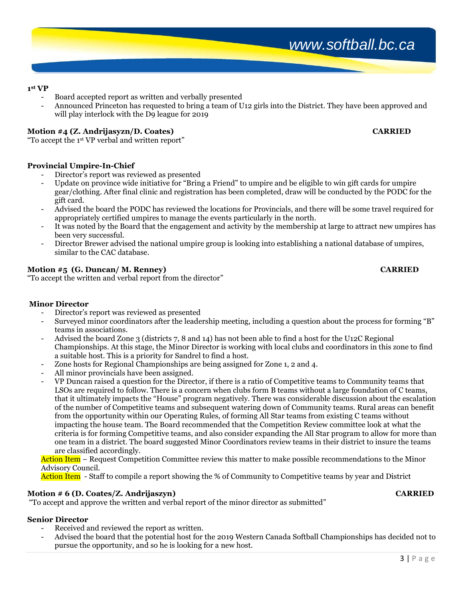## **1 st VP**

- Board accepted report as written and verbally presented
- Announced Princeton has requested to bring a team of U12 girls into the District. They have been approved and will play interlock with the D9 league for 2019

## **Motion #4 (Z. Andrijasyzn/D. Coates) CARRIED**

"To accept the 1st VP verbal and written report"

## **Provincial Umpire-In-Chief**

- Director's report was reviewed as presented
- Update on province wide initiative for "Bring a Friend" to umpire and be eligible to win gift cards for umpire gear/clothing. After final clinic and registration has been completed, draw will be conducted by the PODC for the gift card.
- Advised the board the PODC has reviewed the locations for Provincials, and there will be some travel required for appropriately certified umpires to manage the events particularly in the north.
- It was noted by the Board that the engagement and activity by the membership at large to attract new umpires has been very successful.
- Director Brewer advised the national umpire group is looking into establishing a national database of umpires, similar to the CAC database.

## **Motion #5 (G. Duncan/ M. Renney) CARRIED**

"To accept the written and verbal report from the director"

## **Minor Director**

- Director's report was reviewed as presented
- Surveyed minor coordinators after the leadership meeting, including a question about the process for forming "B" teams in associations.
- Advised the board Zone 3 (districts 7, 8 and 14) has not been able to find a host for the U12C Regional Championships. At this stage, the Minor Director is working with local clubs and coordinators in this zone to find a suitable host. This is a priority for Sandrel to find a host.
- Zone hosts for Regional Championships are being assigned for Zone 1, 2 and 4.
- All minor provincials have been assigned.
- VP Duncan raised a question for the Director, if there is a ratio of Competitive teams to Community teams that LSOs are required to follow. There is a concern when clubs form B teams without a large foundation of C teams, that it ultimately impacts the "House" program negatively. There was considerable discussion about the escalation of the number of Competitive teams and subsequent watering down of Community teams. Rural areas can benefit from the opportunity within our Operating Rules, of forming All Star teams from existing C teams without impacting the house team. The Board recommended that the Competition Review committee look at what the criteria is for forming Competitive teams, and also consider expanding the All Star program to allow for more than one team in a district. The board suggested Minor Coordinators review teams in their district to insure the teams are classified accordingly.

Action Item – Request Competition Committee review this matter to make possible recommendations to the Minor Advisory Council.

Action Item - Staff to compile a report showing the % of Community to Competitive teams by year and District

## **Motion # 6 (D. Coates/Z. Andrijaszyn) CARRIED**

"To accept and approve the written and verbal report of the minor director as submitted"

## **Senior Director**

- Received and reviewed the report as written.
- Advised the board that the potential host for the 2019 Western Canada Softball Championships has decided not to pursue the opportunity, and so he is looking for a new host.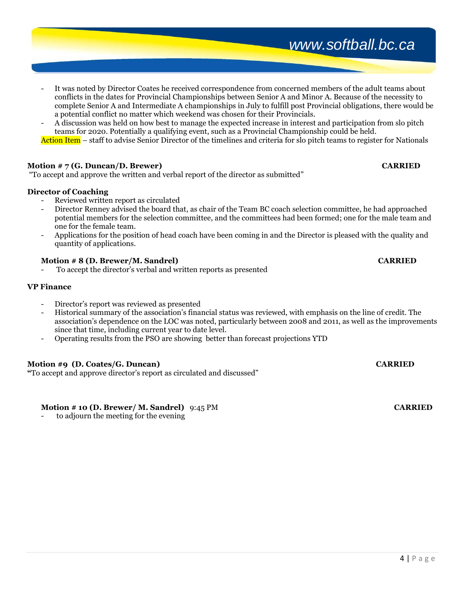- It was noted by Director Coates he received correspondence from concerned members of the adult teams about conflicts in the dates for Provincial Championships between Senior A and Minor A. Because of the necessity to complete Senior A and Intermediate A championships in July to fulfill post Provincial obligations, there would be a potential conflict no matter which weekend was chosen for their Provincials.
- A discussion was held on how best to manage the expected increase in interest and participation from slo pitch teams for 2020. Potentially a qualifying event, such as a Provincial Championship could be held.

Action Item – staff to advise Senior Director of the timelines and criteria for slo pitch teams to register for Nationals

## **Motion # 7 (G. Duncan/D. Brewer) CARRIED**

"To accept and approve the written and verbal report of the director as submitted"

## **Director of Coaching**

- Reviewed written report as circulated
- Director Renney advised the board that, as chair of the Team BC coach selection committee, he had approached potential members for the selection committee, and the committees had been formed; one for the male team and one for the female team.
- Applications for the position of head coach have been coming in and the Director is pleased with the quality and quantity of applications.

## **Motion # 8 (D. Brewer/M. Sandrel) CARRIED**

To accept the director's verbal and written reports as presented

## **VP Finance**

- Director's report was reviewed as presented
- Historical summary of the association's financial status was reviewed, with emphasis on the line of credit. The association's dependence on the LOC was noted, particularly between 2008 and 2011, as well as the improvements since that time, including current year to date level.
- Operating results from the PSO are showing better than forecast projections YTD

## **Motion #9 (D. Coates/G. Duncan) CARRIED**

**"**To accept and approve director's report as circulated and discussed"

## **Motion # 10 (D. Brewer/ M. Sandrel)** 9:45 PM **CARRIED**

to adjourn the meeting for the evening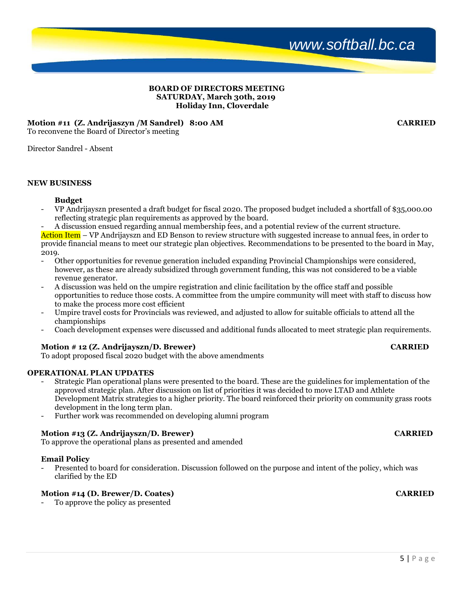## **BOARD OF DIRECTORS MEETING SATURDAY, March 30th, 2019 Holiday Inn, Cloverdale**

## **Motion #11 (Z. Andrijaszyn /M Sandrel) 8:00 AM CARRIED**

To reconvene the Board of Director's meeting

Director Sandrel - Absent

## **NEW BUSINESS**

## **Budget**

- VP Andrijayszn presented a draft budget for fiscal 2020. The proposed budget included a shortfall of \$35,000.00 reflecting strategic plan requirements as approved by the board.
- A discussion ensued regarding annual membership fees, and a potential review of the current structure.

Action Item – VP Andrijayszn and ED Benson to review structure with suggested increase to annual fees, in order to provide financial means to meet our strategic plan objectives. Recommendations to be presented to the board in May, 2019.

- Other opportunities for revenue generation included expanding Provincial Championships were considered, however, as these are already subsidized through government funding, this was not considered to be a viable revenue generator.
- A discussion was held on the umpire registration and clinic facilitation by the office staff and possible opportunities to reduce those costs. A committee from the umpire community will meet with staff to discuss how to make the process more cost efficient
- Umpire travel costs for Provincials was reviewed, and adjusted to allow for suitable officials to attend all the championships
- Coach development expenses were discussed and additional funds allocated to meet strategic plan requirements.

## **Motion # 12 (Z. Andrijayszn/D. Brewer) CARRIED**

To adopt proposed fiscal 2020 budget with the above amendments

## **OPERATIONAL PLAN UPDATES**

- Strategic Plan operational plans were presented to the board. These are the guidelines for implementation of the approved strategic plan. After discussion on list of priorities it was decided to move LTAD and Athlete Development Matrix strategies to a higher priority. The board reinforced their priority on community grass roots development in the long term plan.
- Further work was recommended on developing alumni program

## **Motion #13 (Z. Andrijayszn/D. Brewer) CARRIED**

To approve the operational plans as presented and amended

## **Email Policy**

- Presented to board for consideration. Discussion followed on the purpose and intent of the policy, which was clarified by the ED

## **Motion #14 (D. Brewer/D. Coates) CARRIED**

To approve the policy as presented